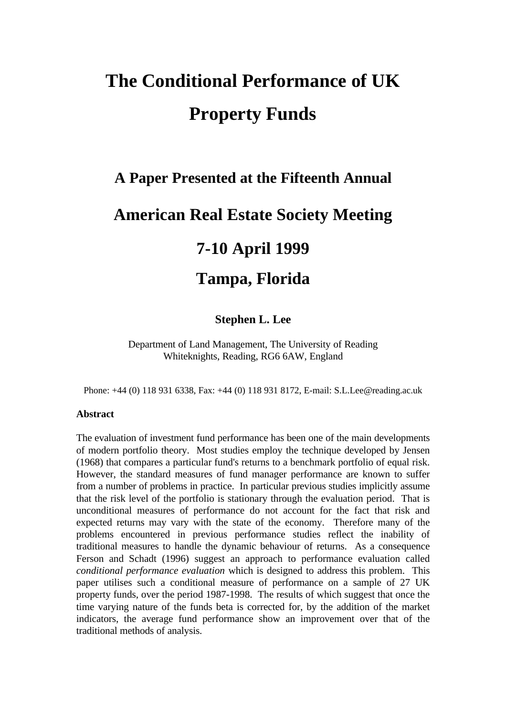# **The Conditional Performance of UK Property Funds**

# **A Paper Presented at the Fifteenth Annual**

# **American Real Estate Society Meeting**

# **7-10 April 1999**

# **Tampa, Florida**

### **Stephen L. Lee**

Department of Land Management, The University of Reading Whiteknights, Reading, RG6 6AW, England

Phone: +44 (0) 118 931 6338, Fax: +44 (0) 118 931 8172, E-mail: S.L.Lee@reading.ac.uk

### **Abstract**

The evaluation of investment fund performance has been one of the main developments of modern portfolio theory. Most studies employ the technique developed by Jensen (1968) that compares a particular fund's returns to a benchmark portfolio of equal risk. However, the standard measures of fund manager performance are known to suffer from a number of problems in practice. In particular previous studies implicitly assume that the risk level of the portfolio is stationary through the evaluation period. That is unconditional measures of performance do not account for the fact that risk and expected returns may vary with the state of the economy. Therefore many of the problems encountered in previous performance studies reflect the inability of traditional measures to handle the dynamic behaviour of returns. As a consequence Ferson and Schadt (1996) suggest an approach to performance evaluation called *conditional performance evaluation* which is designed to address this problem. This paper utilises such a conditional measure of performance on a sample of 27 UK property funds, over the period 1987-1998. The results of which suggest that once the time varying nature of the funds beta is corrected for, by the addition of the market indicators, the average fund performance show an improvement over that of the traditional methods of analysis.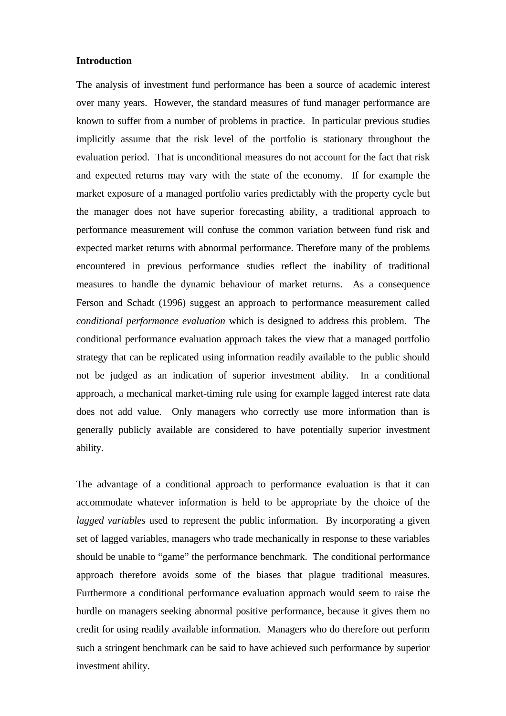### **Introduction**

The analysis of investment fund performance has been a source of academic interest over many years. However, the standard measures of fund manager performance are known to suffer from a number of problems in practice. In particular previous studies implicitly assume that the risk level of the portfolio is stationary throughout the evaluation period. That is unconditional measures do not account for the fact that risk and expected returns may vary with the state of the economy. If for example the market exposure of a managed portfolio varies predictably with the property cycle but the manager does not have superior forecasting ability, a traditional approach to performance measurement will confuse the common variation between fund risk and expected market returns with abnormal performance. Therefore many of the problems encountered in previous performance studies reflect the inability of traditional measures to handle the dynamic behaviour of market returns. As a consequence Ferson and Schadt (1996) suggest an approach to performance measurement called *conditional performance evaluation* which is designed to address this problem. The conditional performance evaluation approach takes the view that a managed portfolio strategy that can be replicated using information readily available to the public should not be judged as an indication of superior investment ability. In a conditional approach, a mechanical market-timing rule using for example lagged interest rate data does not add value. Only managers who correctly use more information than is generally publicly available are considered to have potentially superior investment ability.

The advantage of a conditional approach to performance evaluation is that it can accommodate whatever information is held to be appropriate by the choice of the *lagged variables* used to represent the public information. By incorporating a given set of lagged variables, managers who trade mechanically in response to these variables should be unable to "game" the performance benchmark. The conditional performance approach therefore avoids some of the biases that plague traditional measures. Furthermore a conditional performance evaluation approach would seem to raise the hurdle on managers seeking abnormal positive performance, because it gives them no credit for using readily available information. Managers who do therefore out perform such a stringent benchmark can be said to have achieved such performance by superior investment ability.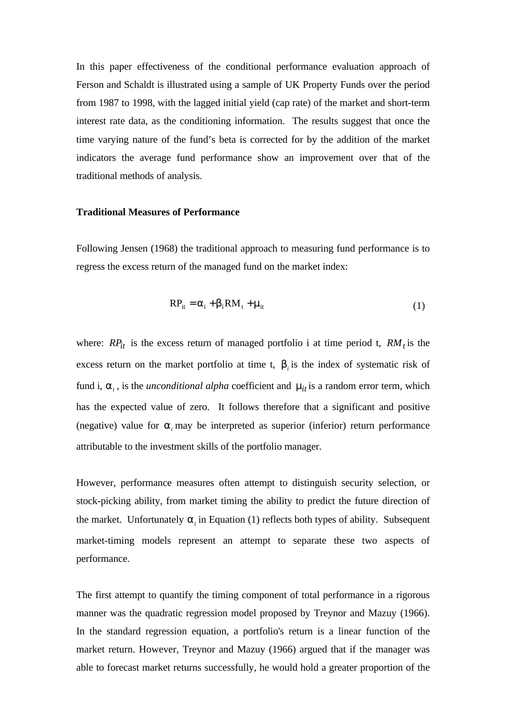In this paper effectiveness of the conditional performance evaluation approach of Ferson and Schaldt is illustrated using a sample of UK Property Funds over the period from 1987 to 1998, with the lagged initial yield (cap rate) of the market and short-term interest rate data, as the conditioning information. The results suggest that once the time varying nature of the fund's beta is corrected for by the addition of the market indicators the average fund performance show an improvement over that of the traditional methods of analysis.

#### **Traditional Measures of Performance**

Following Jensen (1968) the traditional approach to measuring fund performance is to regress the excess return of the managed fund on the market index:

$$
RP_{it} = \alpha_i + \beta_i RM_t + \mu_{it}
$$
 (1)

where:  $RP_{it}$  is the excess return of managed portfolio i at time period t,  $RM_t$  is the excess return on the market portfolio at time t,  $\mathfrak{b}_i$  is the index of systematic risk of fund i,  $a_i$ , is the *unconditional alpha* coefficient and  $m_{it}$  is a random error term, which has the expected value of zero. It follows therefore that a significant and positive (negative) value for  $a_i$  may be interpreted as superior (inferior) return performance attributable to the investment skills of the portfolio manager.

However, performance measures often attempt to distinguish security selection, or stock-picking ability, from market timing the ability to predict the future direction of the market. Unfortunately  $a_i$  in Equation (1) reflects both types of ability. Subsequent market-timing models represent an attempt to separate these two aspects of performance.

The first attempt to quantify the timing component of total performance in a rigorous manner was the quadratic regression model proposed by Treynor and Mazuy (1966). In the standard regression equation, a portfolio's return is a linear function of the market return. However, Treynor and Mazuy (1966) argued that if the manager was able to forecast market returns successfully, he would hold a greater proportion of the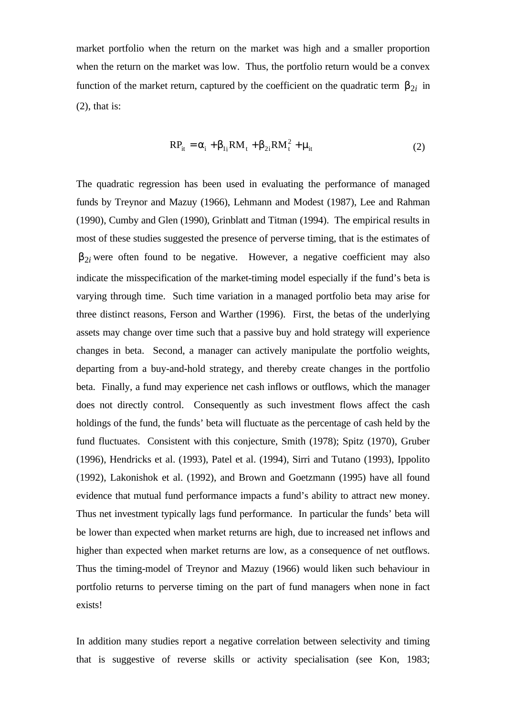market portfolio when the return on the market was high and a smaller proportion when the return on the market was low. Thus, the portfolio return would be a convex function of the market return, captured by the coefficient on the quadratic term  $b_{2i}$  in (2), that is:

$$
RP_{it} = \alpha_i + \beta_{1i} RM_t + \beta_{2i} RM_t^2 + \mu_{it}
$$
 (2)

The quadratic regression has been used in evaluating the performance of managed funds by Treynor and Mazuy (1966), Lehmann and Modest (1987), Lee and Rahman (1990), Cumby and Glen (1990), Grinblatt and Titman (1994). The empirical results in most of these studies suggested the presence of perverse timing, that is the estimates of  $b_{2i}$  were often found to be negative. However, a negative coefficient may also indicate the misspecification of the market-timing model especially if the fund's beta is varying through time. Such time variation in a managed portfolio beta may arise for three distinct reasons, Ferson and Warther (1996). First, the betas of the underlying assets may change over time such that a passive buy and hold strategy will experience changes in beta. Second, a manager can actively manipulate the portfolio weights, departing from a buy-and-hold strategy, and thereby create changes in the portfolio beta. Finally, a fund may experience net cash inflows or outflows, which the manager does not directly control. Consequently as such investment flows affect the cash holdings of the fund, the funds' beta will fluctuate as the percentage of cash held by the fund fluctuates. Consistent with this conjecture, Smith (1978); Spitz (1970), Gruber (1996), Hendricks et al. (1993), Patel et al. (1994), Sirri and Tutano (1993), Ippolito (1992), Lakonishok et al. (1992), and Brown and Goetzmann (1995) have all found evidence that mutual fund performance impacts a fund's ability to attract new money. Thus net investment typically lags fund performance. In particular the funds' beta will be lower than expected when market returns are high, due to increased net inflows and higher than expected when market returns are low, as a consequence of net outflows. Thus the timing-model of Treynor and Mazuy (1966) would liken such behaviour in portfolio returns to perverse timing on the part of fund managers when none in fact exists!

In addition many studies report a negative correlation between selectivity and timing that is suggestive of reverse skills or activity specialisation (see Kon, 1983;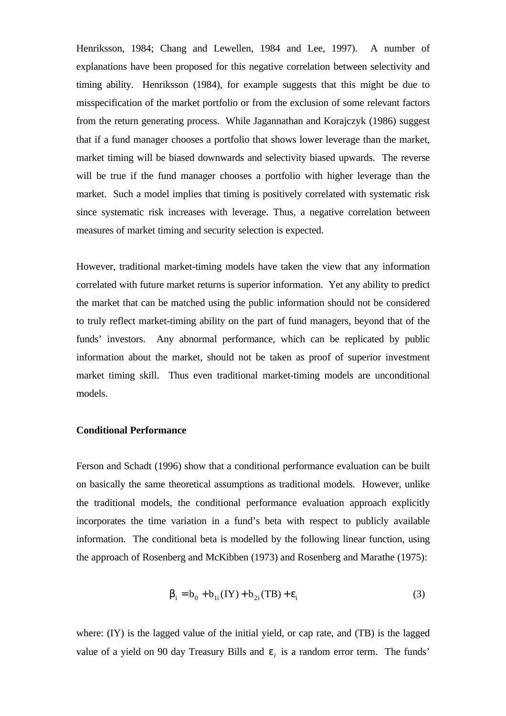Henriksson, 1984; Chang and Lewellen, 1984 and Lee, 1997). A number of explanations have been proposed for this negative correlation between selectivity and timing ability. Henriksson (1984), for example suggests that this might be due to misspecification of the market portfolio or from the exclusion of some relevant factors from the return generating process. While Jagannathan and Korajczyk (1986) suggest that if a fund manager chooses a portfolio that shows lower leverage than the market, market timing will be biased downwards and selectivity biased upwards. The reverse will be true if the fund manager chooses a portfolio with higher leverage than the market. Such a model implies that timing is positively correlated with systematic risk since systematic risk increases with leverage. Thus, a negative correlation between measures of market timing and security selection is expected.

However, traditional market-timing models have taken the view that any information correlated with future market returns is superior information. Yet any ability to predict the market that can be matched using the public information should not be considered to truly reflect market-timing ability on the part of fund managers, beyond that of the funds' investors. Any abnormal performance, which can be replicated by public information about the market, should not be taken as proof of superior investment market timing skill. Thus even traditional market-timing models are unconditional models.

#### **Conditional Performance**

Ferson and Schadt (1996) show that a conditional performance evaluation can be built on basically the same theoretical assumptions as traditional models. However, unlike the traditional models, the conditional performance evaluation approach explicitly incorporates the time variation in a fund's beta with respect to publicly available information. The conditional beta is modelled by the following linear function, using the approach of Rosenberg and McKibben (1973) and Rosenberg and Marathe (1975):

$$
\beta_{i} = b_{0} + b_{1i} (IY) + b_{2i} (TB) + \varepsilon_{i}
$$
\n(3)

where: (IY) is the lagged value of the initial yield, or cap rate, and (TB) is the lagged value of a yield on 90 day Treasury Bills and  $e_i$  is a random error term. The funds'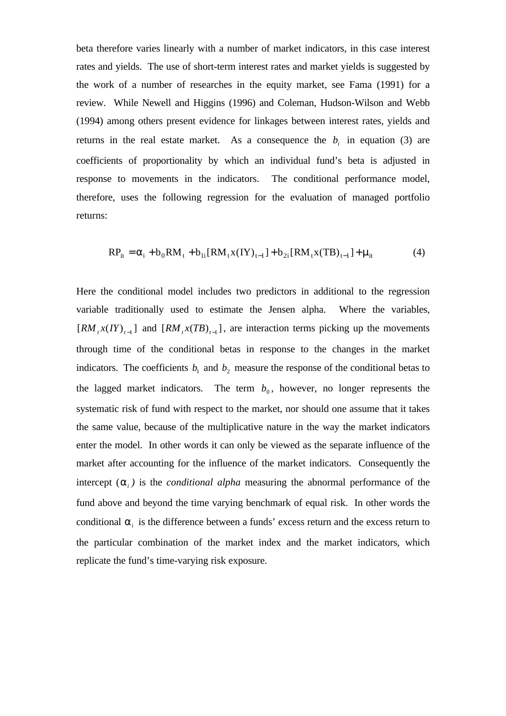beta therefore varies linearly with a number of market indicators, in this case interest rates and yields. The use of short-term interest rates and market yields is suggested by the work of a number of researches in the equity market, see Fama (1991) for a review. While Newell and Higgins (1996) and Coleman, Hudson-Wilson and Webb (1994) among others present evidence for linkages between interest rates, yields and returns in the real estate market. As a consequence the  $b_i$  in equation (3) are coefficients of proportionality by which an individual fund's beta is adjusted in response to movements in the indicators. The conditional performance model, therefore, uses the following regression for the evaluation of managed portfolio returns:

$$
RP_{it} = \alpha_i + b_0 RM_t + b_{1i} [RM_t x (IY)_{t-1}] + b_{2i} [RM_t x (TB)_{t-1}] + \mu_{it}
$$
 (4)

Here the conditional model includes two predictors in additional to the regression variable traditionally used to estimate the Jensen alpha. Where the variables,  $[RM_t x (IY)_{t-1}]$  and  $[RM_t x (TB)_{t-1}]$ , are interaction terms picking up the movements through time of the conditional betas in response to the changes in the market indicators. The coefficients  $b_1$  and  $b_2$  measure the response of the conditional betas to the lagged market indicators. The term  $b_0$ , however, no longer represents the systematic risk of fund with respect to the market, nor should one assume that it takes the same value, because of the multiplicative nature in the way the market indicators enter the model. In other words it can only be viewed as the separate influence of the market after accounting for the influence of the market indicators. Consequently the intercept  $(a_i)$  is the *conditional alpha* measuring the abnormal performance of the fund above and beyond the time varying benchmark of equal risk. In other words the conditional  $a_i$  is the difference between a funds' excess return and the excess return to the particular combination of the market index and the market indicators, which replicate the fund's time-varying risk exposure.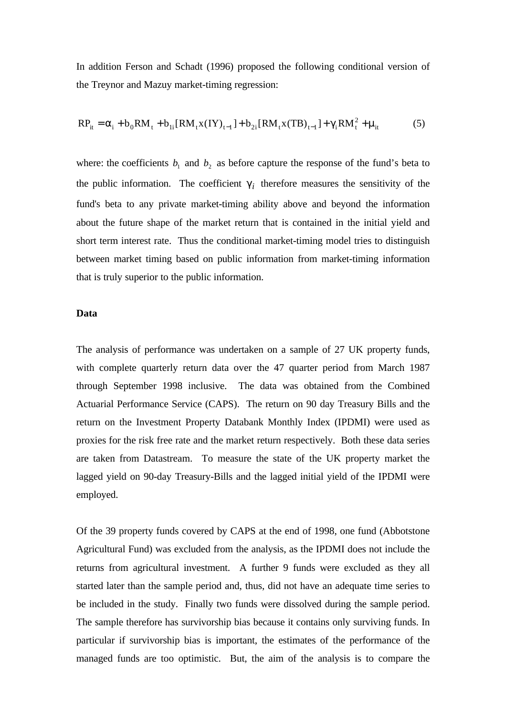In addition Ferson and Schadt (1996) proposed the following conditional version of the Treynor and Mazuy market-timing regression:

$$
RP_{it} = \alpha_i + b_0 RM_t + b_{1i} [RM_t x (IV)_{t-1}] + b_{2i} [RM_t x (TB)_{t-1}] + \gamma_i RM_t^2 + \mu_{it}
$$
 (5)

where: the coefficients  $b_1$  and  $b_2$  as before capture the response of the fund's beta to the public information. The coefficient  $g_i$  therefore measures the sensitivity of the fund's beta to any private market-timing ability above and beyond the information about the future shape of the market return that is contained in the initial yield and short term interest rate. Thus the conditional market-timing model tries to distinguish between market timing based on public information from market-timing information that is truly superior to the public information.

### **Data**

The analysis of performance was undertaken on a sample of 27 UK property funds, with complete quarterly return data over the 47 quarter period from March 1987 through September 1998 inclusive. The data was obtained from the Combined Actuarial Performance Service (CAPS).The return on 90 day Treasury Bills and the return on the Investment Property Databank Monthly Index (IPDMI) were used as proxies for the risk free rate and the market return respectively. Both these data series are taken from Datastream. To measure the state of the UK property market the lagged yield on 90-day Treasury-Bills and the lagged initial yield of the IPDMI were employed.

Of the 39 property funds covered by CAPS at the end of 1998, one fund (Abbotstone Agricultural Fund) was excluded from the analysis, as the IPDMI does not include the returns from agricultural investment. A further 9 funds were excluded as they all started later than the sample period and, thus, did not have an adequate time series to be included in the study. Finally two funds were dissolved during the sample period. The sample therefore has survivorship bias because it contains only surviving funds. In particular if survivorship bias is important, the estimates of the performance of the managed funds are too optimistic. But, the aim of the analysis is to compare the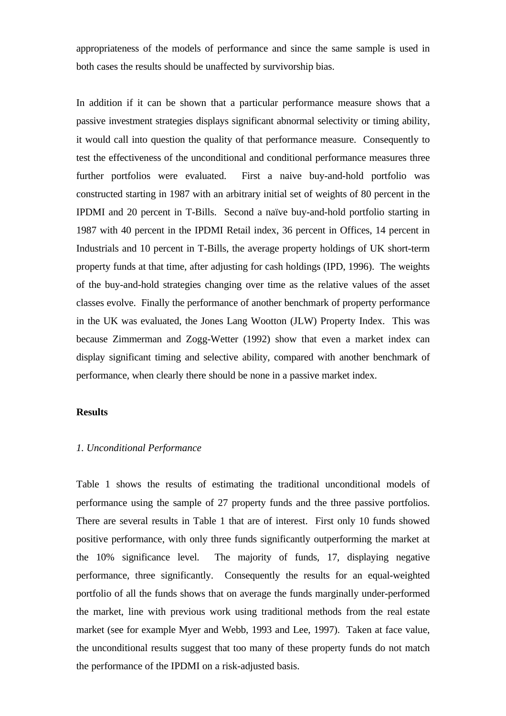appropriateness of the models of performance and since the same sample is used in both cases the results should be unaffected by survivorship bias.

In addition if it can be shown that a particular performance measure shows that a passive investment strategies displays significant abnormal selectivity or timing ability, it would call into question the quality of that performance measure. Consequently to test the effectiveness of the unconditional and conditional performance measures three further portfolios were evaluated. First a naive buy-and-hold portfolio was constructed starting in 1987 with an arbitrary initial set of weights of 80 percent in the IPDMI and 20 percent in T-Bills. Second a naïve buy-and-hold portfolio starting in 1987 with 40 percent in the IPDMI Retail index, 36 percent in Offices, 14 percent in Industrials and 10 percent in T-Bills, the average property holdings of UK short-term property funds at that time, after adjusting for cash holdings (IPD, 1996). The weights of the buy-and-hold strategies changing over time as the relative values of the asset classes evolve. Finally the performance of another benchmark of property performance in the UK was evaluated, the Jones Lang Wootton (JLW) Property Index. This was because Zimmerman and Zogg-Wetter (1992) show that even a market index can display significant timing and selective ability, compared with another benchmark of performance, when clearly there should be none in a passive market index.

#### **Results**

#### *1. Unconditional Performance*

Table 1 shows the results of estimating the traditional unconditional models of performance using the sample of 27 property funds and the three passive portfolios. There are several results in Table 1 that are of interest. First only 10 funds showed positive performance, with only three funds significantly outperforming the market at the 10% significance level. The majority of funds, 17, displaying negative performance, three significantly. Consequently the results for an equal-weighted portfolio of all the funds shows that on average the funds marginally under-performed the market, line with previous work using traditional methods from the real estate market (see for example Myer and Webb, 1993 and Lee, 1997). Taken at face value, the unconditional results suggest that too many of these property funds do not match the performance of the IPDMI on a risk-adjusted basis.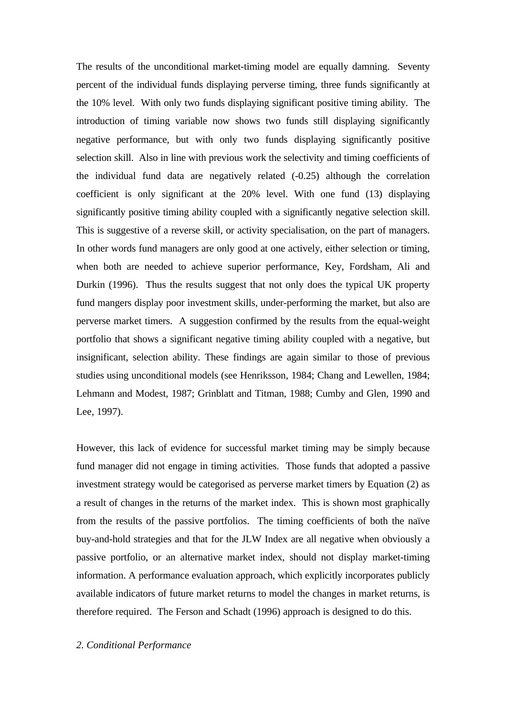The results of the unconditional market-timing model are equally damning. Seventy percent of the individual funds displaying perverse timing, three funds significantly at the 10% level. With only two funds displaying significant positive timing ability. The introduction of timing variable now shows two funds still displaying significantly negative performance, but with only two funds displaying significantly positive selection skill. Also in line with previous work the selectivity and timing coefficients of the individual fund data are negatively related (-0.25) although the correlation coefficient is only significant at the 20% level. With one fund (13) displaying significantly positive timing ability coupled with a significantly negative selection skill. This is suggestive of a reverse skill, or activity specialisation, on the part of managers. In other words fund managers are only good at one actively, either selection or timing, when both are needed to achieve superior performance, Key, Fordsham, Ali and Durkin (1996). Thus the results suggest that not only does the typical UK property fund mangers display poor investment skills, under-performing the market, but also are perverse market timers. A suggestion confirmed by the results from the equal-weight portfolio that shows a significant negative timing ability coupled with a negative, but insignificant, selection ability. These findings are again similar to those of previous studies using unconditional models (see Henriksson, 1984; Chang and Lewellen, 1984; Lehmann and Modest, 1987; Grinblatt and Titman, 1988; Cumby and Glen, 1990 and Lee, 1997).

However, this lack of evidence for successful market timing may be simply because fund manager did not engage in timing activities. Those funds that adopted a passive investment strategy would be categorised as perverse market timers by Equation (2) as a result of changes in the returns of the market index. This is shown most graphically from the results of the passive portfolios. The timing coefficients of both the naïve buy-and-hold strategies and that for the JLW Index are all negative when obviously a passive portfolio, or an alternative market index, should not display market-timing information. A performance evaluation approach, which explicitly incorporates publicly available indicators of future market returns to model the changes in market returns, is therefore required. The Ferson and Schadt (1996) approach is designed to do this.

#### *2. Conditional Performance*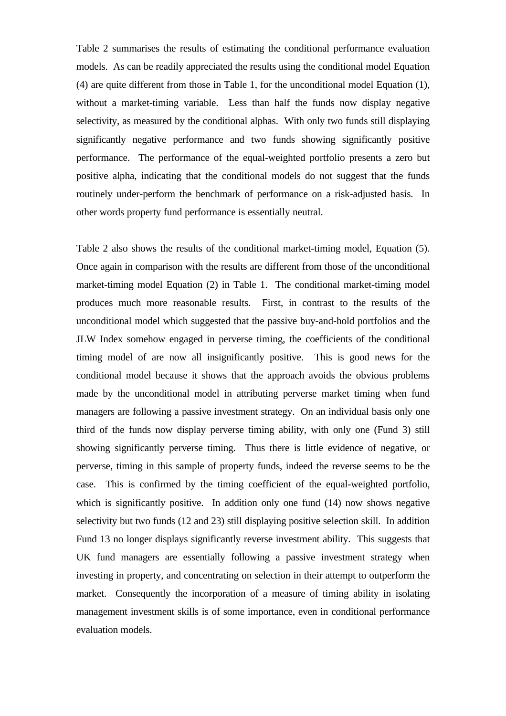Table 2 summarises the results of estimating the conditional performance evaluation models. As can be readily appreciated the results using the conditional model Equation (4) are quite different from those in Table 1, for the unconditional model Equation (1), without a market-timing variable. Less than half the funds now display negative selectivity, as measured by the conditional alphas. With only two funds still displaying significantly negative performance and two funds showing significantly positive performance. The performance of the equal-weighted portfolio presents a zero but positive alpha, indicating that the conditional models do not suggest that the funds routinely under-perform the benchmark of performance on a risk-adjusted basis. In other words property fund performance is essentially neutral.

Table 2 also shows the results of the conditional market-timing model, Equation (5). Once again in comparison with the results are different from those of the unconditional market-timing model Equation (2) in Table 1. The conditional market-timing model produces much more reasonable results. First, in contrast to the results of the unconditional model which suggested that the passive buy-and-hold portfolios and the JLW Index somehow engaged in perverse timing, the coefficients of the conditional timing model of are now all insignificantly positive. This is good news for the conditional model because it shows that the approach avoids the obvious problems made by the unconditional model in attributing perverse market timing when fund managers are following a passive investment strategy. On an individual basis only one third of the funds now display perverse timing ability, with only one (Fund 3) still showing significantly perverse timing. Thus there is little evidence of negative, or perverse, timing in this sample of property funds, indeed the reverse seems to be the case. This is confirmed by the timing coefficient of the equal-weighted portfolio, which is significantly positive. In addition only one fund (14) now shows negative selectivity but two funds (12 and 23) still displaying positive selection skill. In addition Fund 13 no longer displays significantly reverse investment ability. This suggests that UK fund managers are essentially following a passive investment strategy when investing in property, and concentrating on selection in their attempt to outperform the market. Consequently the incorporation of a measure of timing ability in isolating management investment skills is of some importance, even in conditional performance evaluation models.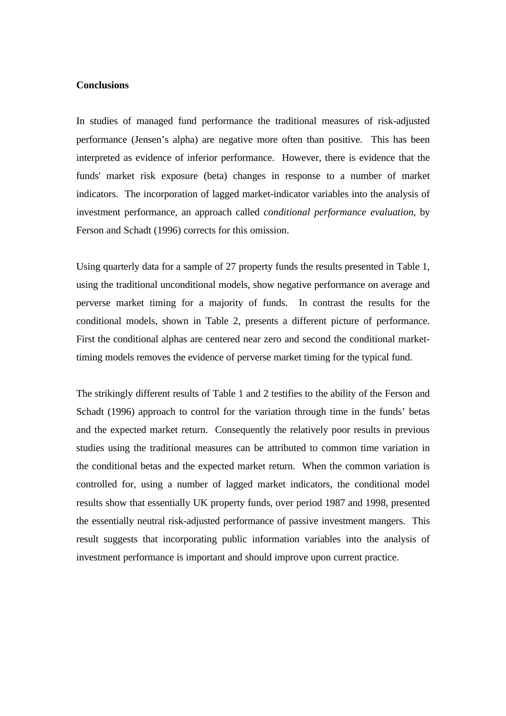#### **Conclusions**

In studies of managed fund performance the traditional measures of risk-adjusted performance (Jensen's alpha) are negative more often than positive. This has been interpreted as evidence of inferior performance. However, there is evidence that the funds' market risk exposure (beta) changes in response to a number of market indicators. The incorporation of lagged market-indicator variables into the analysis of investment performance, an approach called *conditional performance evaluation*, by Ferson and Schadt (1996) corrects for this omission.

Using quarterly data for a sample of 27 property funds the results presented in Table 1, using the traditional unconditional models, show negative performance on average and perverse market timing for a majority of funds. In contrast the results for the conditional models, shown in Table 2, presents a different picture of performance. First the conditional alphas are centered near zero and second the conditional markettiming models removes the evidence of perverse market timing for the typical fund.

The strikingly different results of Table 1 and 2 testifies to the ability of the Ferson and Schadt (1996) approach to control for the variation through time in the funds' betas and the expected market return. Consequently the relatively poor results in previous studies using the traditional measures can be attributed to common time variation in the conditional betas and the expected market return. When the common variation is controlled for, using a number of lagged market indicators, the conditional model results show that essentially UK property funds, over period 1987 and 1998, presented the essentially neutral risk-adjusted performance of passive investment mangers. This result suggests that incorporating public information variables into the analysis of investment performance is important and should improve upon current practice.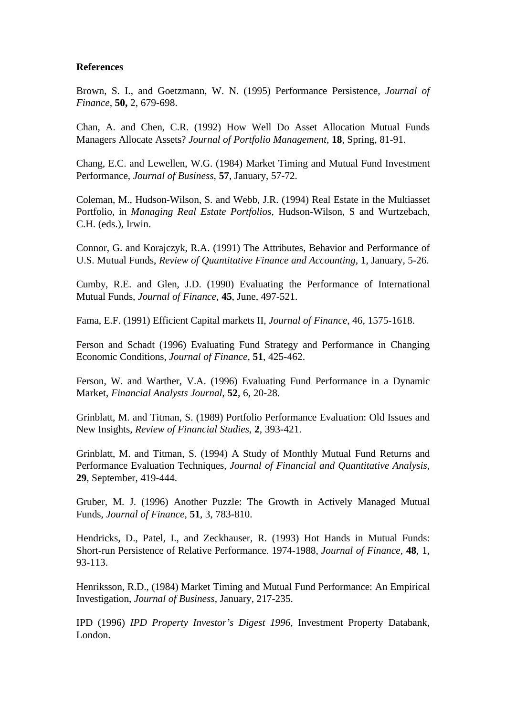#### **References**

Brown, S. I., and Goetzmann, W. N. (1995) Performance Persistence, *Journal of Finance,* **50,** 2, 679-698.

Chan, A. and Chen, C.R. (1992) How Well Do Asset Allocation Mutual Funds Managers Allocate Assets? *Journal of Portfolio Management*, **18**, Spring, 81-91.

Chang, E.C. and Lewellen, W.G. (1984) Market Timing and Mutual Fund Investment Performance, *Journal of Business*, **57**, January, 57-72.

Coleman, M., Hudson-Wilson, S. and Webb, J.R. (1994) Real Estate in the Multiasset Portfolio, in *Managing Real Estate Portfolios*, Hudson-Wilson, S and Wurtzebach, C.H. (eds.), Irwin.

Connor, G. and Korajczyk, R.A. (1991) The Attributes, Behavior and Performance of U.S. Mutual Funds, *Review of Quantitative Finance and Accounting*, **1**, January, 5-26.

Cumby, R.E. and Glen, J.D. (1990) Evaluating the Performance of International Mutual Funds, *Journal of Finance*, **45**, June, 497-521.

Fama, E.F. (1991) Efficient Capital markets II, *Journal of Finance*, 46, 1575-1618.

Ferson and Schadt (1996) Evaluating Fund Strategy and Performance in Changing Economic Conditions, *Journal of Finance*, **51**, 425-462.

Ferson, W. and Warther, V.A. (1996) Evaluating Fund Performance in a Dynamic Market, *Financial Analysts Journal*, **52**, 6, 20-28.

Grinblatt, M. and Titman, S. (1989) Portfolio Performance Evaluation: Old Issues and New Insights, *Review of Financial Studies*, **2**, 393-421.

Grinblatt, M. and Titman, S. (1994) A Study of Monthly Mutual Fund Returns and Performance Evaluation Techniques, *Journal of Financial and Quantitative Analysis*, **29**, September, 419-444.

Gruber, M. J. (1996) Another Puzzle: The Growth in Actively Managed Mutual Funds, *Journal of Finance*, **51**, 3, 783-810.

Hendricks, D., Patel, I., and Zeckhauser, R. (1993) Hot Hands in Mutual Funds: Short-run Persistence of Relative Performance. 1974-1988, *Journal of Finance*, **48**, 1, 93-113.

Henriksson, R.D., (1984) Market Timing and Mutual Fund Performance: An Empirical Investigation, *Journal of Business*, January, 217-235.

IPD (1996) *IPD Property Investor's Digest 1996*, Investment Property Databank, London.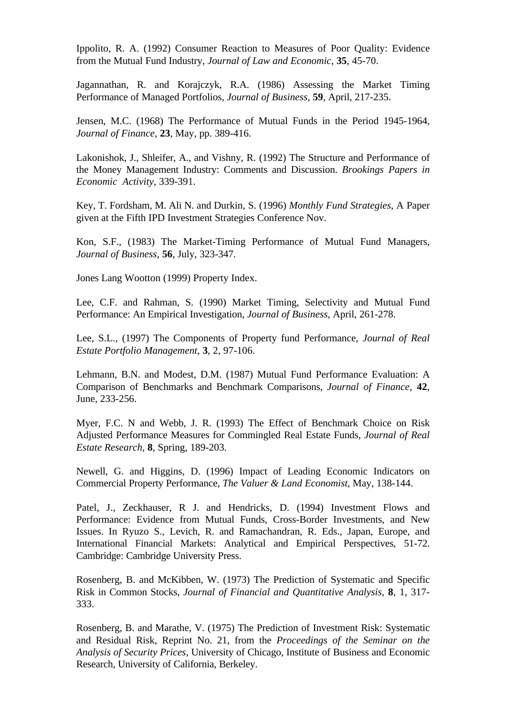Ippolito, R. A. (1992) Consumer Reaction to Measures of Poor Quality: Evidence from the Mutual Fund Industry, *Journal of Law and Economic*, **35**, 45-70.

Jagannathan, R. and Korajczyk, R.A. (1986) Assessing the Market Timing Performance of Managed Portfolios, *Journal of Business*, **59**, April, 217-235.

Jensen, M.C. (1968) The Performance of Mutual Funds in the Period 1945-1964, *Journal of Finance*, **23**, May, pp. 389-416.

Lakonishok, J., Shleifer, A., and Vishny, R. (1992) The Structure and Performance of the Money Management Industry: Comments and Discussion. *Brookings Papers in Economic Activity,* 339-391.

Key, T. Fordsham, M. Ali N. and Durkin, S. (1996) *Monthly Fund Strategies*, A Paper given at the Fifth IPD Investment Strategies Conference Nov.

Kon, S.F., (1983) The Market-Timing Performance of Mutual Fund Managers, *Journal of Business*, **56**, July, 323-347.

Jones Lang Wootton (1999) Property Index.

Lee, C.F. and Rahman, S. (1990) Market Timing, Selectivity and Mutual Fund Performance: An Empirical Investigation, *Journal of Business*, April, 261-278.

Lee, S.L., (1997) The Components of Property fund Performance, *Journal of Real Estate Portfolio Management*, **3**, 2, 97-106.

Lehmann, B.N. and Modest, D.M. (1987) Mutual Fund Performance Evaluation: A Comparison of Benchmarks and Benchmark Comparisons, *Journal of Finance*, **42**, June, 233-256.

Myer, F.C. N and Webb, J. R. (1993) The Effect of Benchmark Choice on Risk Adjusted Performance Measures for Commingled Real Estate Funds, *Journal of Real Estate Research,* **8**, Spring, 189-203.

Newell, G. and Higgins, D. (1996) Impact of Leading Economic Indicators on Commercial Property Performance, *The Valuer & Land Economist*, May, 138-144.

Patel, J., Zeckhauser, R J. and Hendricks, D. (1994) Investment Flows and Performance: Evidence from Mutual Funds, Cross-Border Investments, and New Issues. In Ryuzo S., Levich, R. and Ramachandran, R. Eds., Japan, Europe, and International Financial Markets: Analytical and Empirical Perspectives, 51-72. Cambridge: Cambridge University Press.

Rosenberg, B. and McKibben, W. (1973) The Prediction of Systematic and Specific Risk in Common Stocks, *Journal of Financial and Quantitative Analysis*, **8**, 1, 317- 333.

Rosenberg, B. and Marathe, V. (1975) The Prediction of Investment Risk: Systematic and Residual Risk, Reprint No. 21, from the *Proceedings of the Seminar on the Analysis of Security Prices*, University of Chicago, Institute of Business and Economic Research, University of California, Berkeley.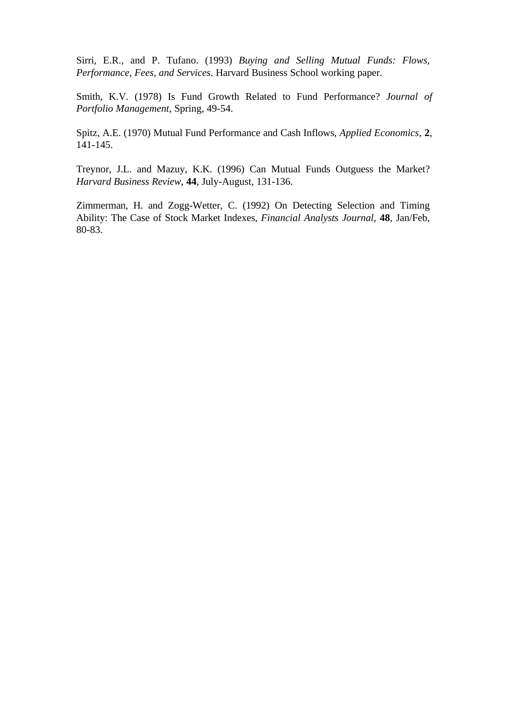Sirri, E.R., and P. Tufano. (1993) *Buying and Selling Mutual Funds: Flows, Performance, Fees, and Services*. Harvard Business School working paper.

Smith, K.V. (1978) Is Fund Growth Related to Fund Performance? *Journal of Portfolio Management*, Spring, 49-54.

Spitz, A.E. (1970) Mutual Fund Performance and Cash Inflows, *Applied Economics*, **2**, 141-145.

Treynor, J.L. and Mazuy, K.K. (1996) Can Mutual Funds Outguess the Market? *Harvard Business Review*, **44**, July-August, 131-136.

Zimmerman, H. and Zogg-Wetter, C. (1992) On Detecting Selection and Timing Ability: The Case of Stock Market Indexes, *Financial Analysts Journal*, **48**, Jan/Feb, 80-83.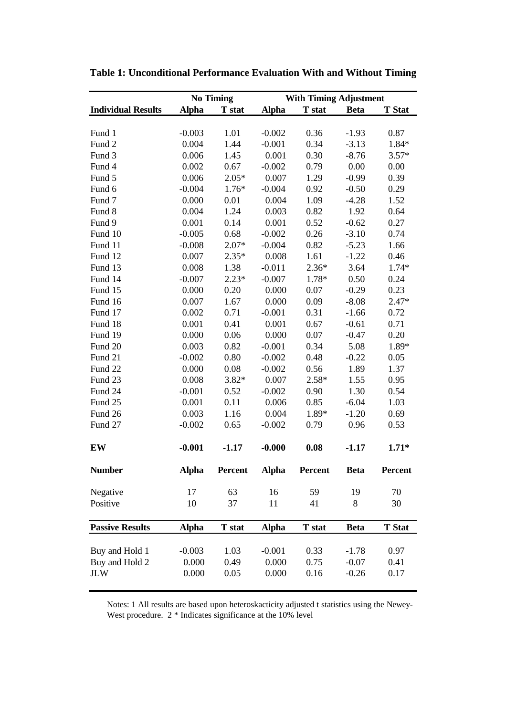|                           | <b>No Timing</b> |         | <b>With Timing Adjustment</b> |         |             |                |  |
|---------------------------|------------------|---------|-------------------------------|---------|-------------|----------------|--|
| <b>Individual Results</b> | <b>Alpha</b>     | T stat  | <b>Alpha</b>                  | T stat  | <b>Beta</b> | <b>T</b> Stat  |  |
|                           |                  |         |                               |         |             |                |  |
| Fund 1                    | $-0.003$         | 1.01    | $-0.002$                      | 0.36    | $-1.93$     | 0.87           |  |
| Fund 2                    | 0.004            | 1.44    | $-0.001$                      | 0.34    | $-3.13$     | 1.84*          |  |
| Fund 3                    | 0.006            | 1.45    | 0.001                         | 0.30    | $-8.76$     | $3.57*$        |  |
| Fund 4                    | 0.002            | 0.67    | $-0.002$                      | 0.79    | 0.00        | 0.00           |  |
| Fund 5                    | 0.006            | $2.05*$ | 0.007                         | 1.29    | $-0.99$     | 0.39           |  |
| Fund 6                    | $-0.004$         | $1.76*$ | $-0.004$                      | 0.92    | $-0.50$     | 0.29           |  |
| Fund 7                    | 0.000            | 0.01    | 0.004                         | 1.09    | $-4.28$     | 1.52           |  |
| Fund 8                    | 0.004            | 1.24    | 0.003                         | 0.82    | 1.92        | 0.64           |  |
| Fund 9                    | 0.001            | 0.14    | 0.001                         | 0.52    | $-0.62$     | 0.27           |  |
| Fund 10                   | $-0.005$         | 0.68    | $-0.002$                      | 0.26    | $-3.10$     | 0.74           |  |
| Fund 11                   | $-0.008$         | $2.07*$ | $-0.004$                      | 0.82    | $-5.23$     | 1.66           |  |
| Fund 12                   | 0.007            | $2.35*$ | 0.008                         | 1.61    | $-1.22$     | 0.46           |  |
| Fund 13                   | 0.008            | 1.38    | $-0.011$                      | $2.36*$ | 3.64        | $1.74*$        |  |
| Fund 14                   | $-0.007$         | $2.23*$ | $-0.007$                      | 1.78*   | 0.50        | 0.24           |  |
| Fund 15                   | 0.000            | 0.20    | 0.000                         | 0.07    | $-0.29$     | 0.23           |  |
| Fund 16                   | 0.007            | 1.67    | 0.000                         | 0.09    | $-8.08$     | $2.47*$        |  |
| Fund 17                   | 0.002            | 0.71    | $-0.001$                      | 0.31    | $-1.66$     | 0.72           |  |
| Fund 18                   | 0.001            | 0.41    | 0.001                         | 0.67    | $-0.61$     | 0.71           |  |
| Fund 19                   | 0.000            | 0.06    | 0.000                         | 0.07    | $-0.47$     | 0.20           |  |
| Fund 20                   | 0.003            | 0.82    | $-0.001$                      | 0.34    | 5.08        | 1.89*          |  |
| Fund 21                   | $-0.002$         | 0.80    | $-0.002$                      | 0.48    | $-0.22$     | 0.05           |  |
| Fund 22                   | 0.000            | 0.08    | $-0.002$                      | 0.56    | 1.89        | 1.37           |  |
| Fund 23                   | 0.008            | $3.82*$ | 0.007                         | $2.58*$ | 1.55        | 0.95           |  |
| Fund 24                   | $-0.001$         | 0.52    | $-0.002$                      | 0.90    | 1.30        | 0.54           |  |
| Fund 25                   | 0.001            | 0.11    | 0.006                         | 0.85    | $-6.04$     | 1.03           |  |
| Fund 26                   | 0.003            | 1.16    | 0.004                         | 1.89*   | $-1.20$     | 0.69           |  |
| Fund 27                   | $-0.002$         | 0.65    | $-0.002$                      | 0.79    | 0.96        | 0.53           |  |
|                           |                  |         |                               |         |             |                |  |
| EW                        | $-0.001$         | $-1.17$ | $-0.000$                      | 0.08    | $-1.17$     | $1.71*$        |  |
| <b>Number</b>             | <b>Alpha</b>     | Percent | <b>Alpha</b>                  | Percent | <b>Beta</b> | <b>Percent</b> |  |
|                           |                  |         |                               |         |             |                |  |
| Negative                  | 17               | 63      | 16                            | 59      | 19          | 70             |  |
| Positive                  | 10               | 37      | 11                            | 41      | 8           | 30             |  |
| <b>Passive Results</b>    | <b>Alpha</b>     | T stat  | <b>Alpha</b>                  | T stat  | <b>Beta</b> | <b>T</b> Stat  |  |
|                           |                  |         |                               |         |             |                |  |
| Buy and Hold 1            | $-0.003$         | 1.03    | $-0.001$                      | 0.33    | $-1.78$     | 0.97           |  |
| Buy and Hold 2            | 0.000            | 0.49    | 0.000                         | 0.75    | $-0.07$     | 0.41           |  |
| <b>JLW</b>                | 0.000            | 0.05    | 0.000                         | 0.16    | $-0.26$     | 0.17           |  |
|                           |                  |         |                               |         |             |                |  |

**Table 1: Unconditional Performance Evaluation With and Without Timing**

Notes: 1 All results are based upon heteroskacticity adjusted t statistics using the Newey-West procedure. 2 \* Indicates significance at the 10% level